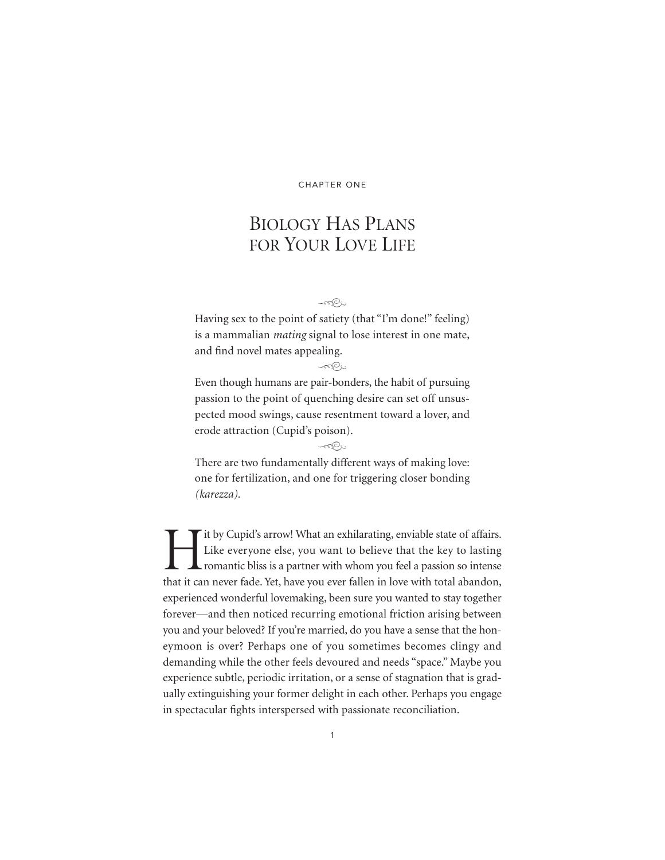#### CHAPTER ONE

# BIOLOGY HAS PLANS FOR YOUR LOVE LIFE

## $\sqrt{2}$

Having sex to the point of satiety (that "I'm done!" feeling) is a mammalian *mating* signal to lose interest in one mate, and find novel mates appealing.

 $\mathcal{L}$ 

Even though humans are pair-bonders, the habit of pur suing passion to the point of quenching desire can set off unsuspected mood swings, cause resentment toward a lover, and erode attraction (Cupid's poison).

#### ∽್ಲೂ

There are two fundamentally different ways of making love: one for fertilization, and one for triggering closer bonding *(karezza).*

It by Cupid's arrow! What an exhilarating, enviable state of affairs.<br>Like everyone else, you want to believe that the key to lasting<br>romantic bliss is a partner with whom you feel a passion so intense Tit by Cupid's arrow! What an exhilarating, enviable state of affairs. Like everyone else, you want to believe that the key to lasting that it can never fade. Yet, have you ever fallen in love with total abandon, experienced wonderful lovemaking, been sure you wanted to stay together forever—and then noticed recurring emotional friction arising between you and your beloved? If you're married, do you have a sense that the honeymoon is over? Perhaps one of you sometimes becomes clingy and demanding while the other feels devoured and needs "space." Maybe you experience subtle, periodic irritation, or a sense of stagnation that is gradually extinguishing your former delight in each other. Perhaps you engage in spectacular fights interspersed with passionate reconciliation.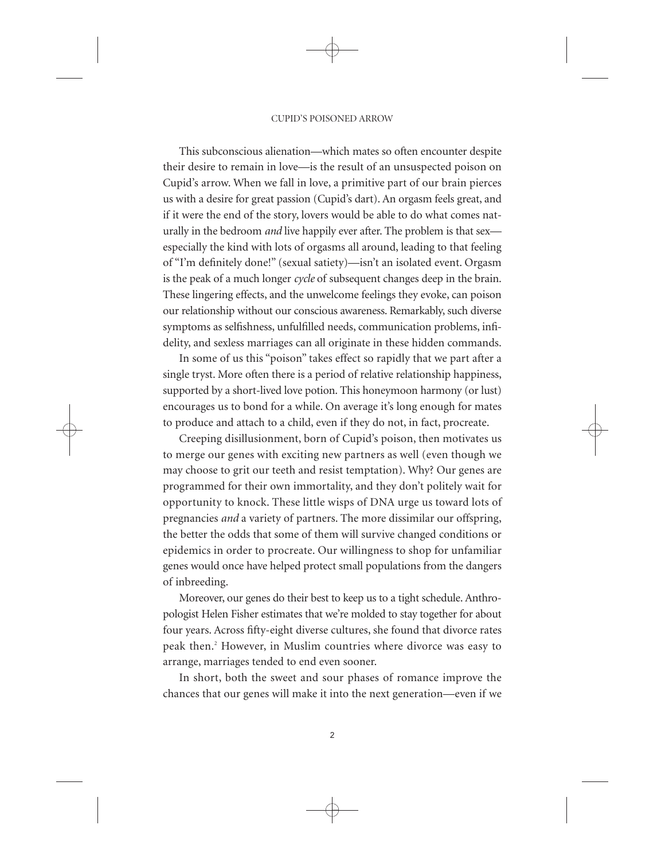This subconscious alienation—which mates so often encounter despite their desire to remain in love—is the result of an unsuspected poison on Cupid's arrow. When we fall in love, a primitive part of our brain pierces us with a desire for great passion (Cupid's dart). An orgasm feels great, and if it were the end of the story, lovers would be able to do what comes naturally in the bedroom *and* live happily ever after. The problem is that sex especially the kind with lots of orgasms all around, leading to that feeling of "I'm definitely done!" (sexual satiety)—isn't an isolated event. Orgasm is the peak of a much longer *cycle* of subsequent changes deep in the brain. These lingering effects, and the unwelcome feelings they evoke, can poison our relationship without our conscious awareness. Remarkably, such diverse symptoms as selfishness, unfulfilled needs, communication problems, infidelity, and sexless marriages can all originate in these hidden commands.

In some of us this "poison" takes effect so rapidly that we part after a single tryst. More often there is a period of relative relationship happiness, supported by a short-lived love potion. This honeymoon harmony (or lust) encourages us to bond for a while. On average it's long enough for mates to produce and attach to a child, even if they do not, in fact, procreate.

Creeping disillusionment, born of Cupid's poison, then motivates us to merge our genes with exciting new partners as well (even though we may choose to grit our teeth and resist temptation). Why? Our genes are programmed for their own immortality, and they don't politely wait for opportunity to knock. These little wisps of DNA urge us toward lots of pregnancies *and* a variety of partners. The more dissimilar our offspring, the better the odds that some of them will survive changed conditions or epidemics in order to procreate. Our willingness to shop for unfamiliar genes would once have helped protect small populations from the dangers of inbreeding.

Moreover, our genes do their best to keep us to a tight schedule. Anthropologist Helen Fisher estimates that we're molded to stay together for about four years. Across fifty-eight diverse cultures, she found that divorce rates peak then.<sup>2</sup> However, in Muslim countries where divorce was easy to arrange, marriages tended to end even sooner.

In short, both the sweet and sour phases of romance improve the chances that our genes will make it into the next generation—even if we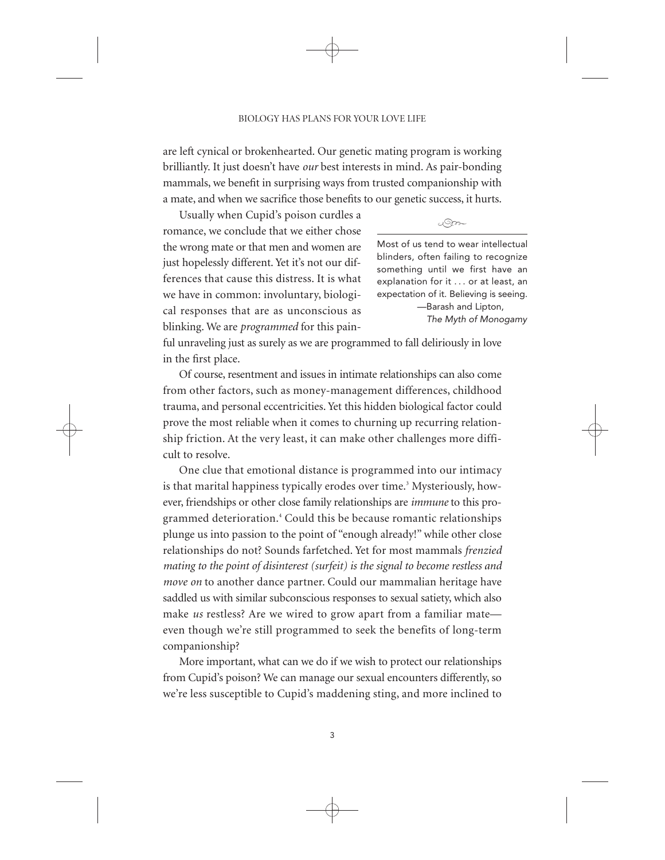are left cynical or brokenhearted. Our genetic mating program is working brilliantly. It just doesn't have *our* best interests in mind. As pair-bonding mammals, we benefit in surprising ways from trusted companionship with a mate, and when we sacrifice those benefits to our genetic success, it hurts.

Usually when Cupid's poison curdles a romance, we conclude that we either chose the wrong mate or that men and women are just hopelessly different. Yet it's not our differences that cause this distress. It is what we have in common: involuntary, biological responses that are as unconscious as blinking. We are *programmed* for this pain-

Most of us tend to wear intellectual blinders, often failing to recognize something until we first have an explanation for it . . . or at least, an expectation of it. Believing is seeing. —Barash and Lipton,

 $\circ$ ිහං

The Myth of Monogamy

ful unraveling just as surely as we are programmed to fall deliriously in love in the first place.

Of course, resentment and issues in intimate relationships can also come from other factors, such as money-management differences, childhood trauma, and personal eccentricities. Yet this hidden biological factor could prove the most reliable when it comes to churning up recurring relationship friction. At the very least, it can make other challenges more difficult to resolve.

One clue that emotional distance is programmed into our intimacy is that marital happiness typically erodes over time.<sup>3</sup> Mysteriously, however, friendships or other close family relationships are *immune* to this programmed deterioration.<sup>4</sup> Could this be because romantic relationships plunge us into passion to the point of "enough already!" while other close relationships do not? Sounds farfetched. Yet for most mammals *frenzied mating to the point of disinterest (surfeit) is the signal to become restless and move on* to another dance partner. Could our mammalian heritage have saddled us with similar subconscious responses to sexual satiety, which also make *us* restless? Are we wired to grow apart from a familiar mate even though we're still programmed to seek the benefits of long-term companionship?

More important, what can we do if we wish to protect our relationships from Cupid's poison? We can manage our sexual encounters differently, so we're less susceptible to Cupid's maddening sting, and more inclined to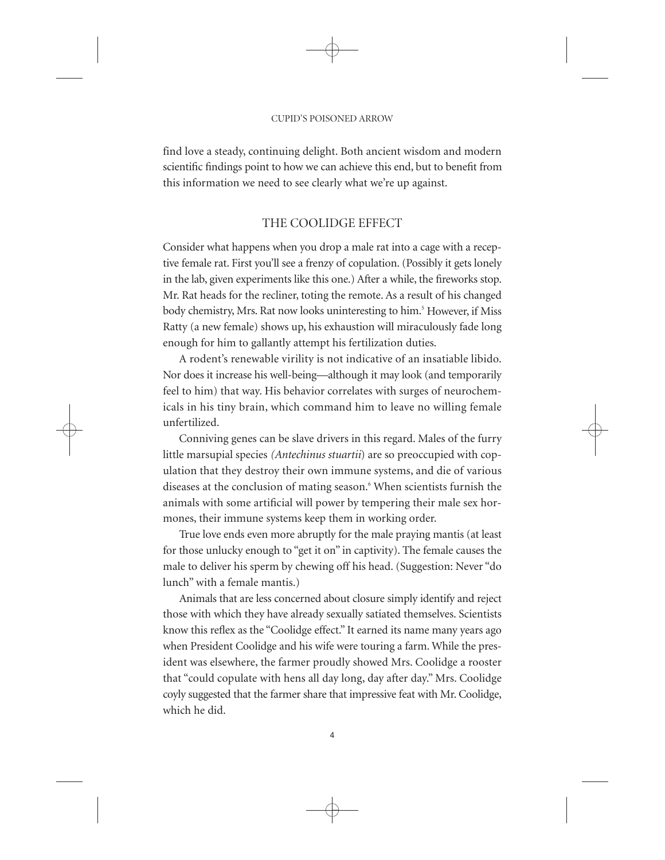find love a steady, continuing delight. Both ancient wisdom and modern scientific findings point to how we can achieve this end, but to benefit from this information we need to see clearly what we're up against.

# THE COOLIDGE EFFECT

Consider what happens when you drop a male rat into a cage with a receptive female rat. First you'll see a frenzy of copulation. (Possibly it gets lonely in the lab, given experiments like this one.) After a while, the fireworks stop. Mr. Rat heads for the recliner, toting the remote. As a result of his changed body chemistry, Mrs. Rat now looks uninteresting to him.<sup>5</sup> However, if Miss Ratty (a new female) shows up, his exhaustion will miraculously fade long enough for him to gallantly attempt his fertilization duties.

A rodent's renewable virility is not indicative of an insatiable libido. Nor does it increase his well-being—although it may look (and temporarily feel to him) that way. His behavior correlates with surges of neurochemicals in his tiny brain, which command him to leave no willing female unfertilized.

Conniving genes can be slave drivers in this regard. Males of the furry little marsupial species *(Antechinus stuartii*) are so preoccupied with copulation that they destroy their own immune systems, and die of various diseases at the conclusion of mating season.<sup>6</sup> When scientists furnish the animals with some artificial will power by tempering their male sex hormones, their immune systems keep them in working order.

True love ends even more abruptly for the male praying mantis (at least for those unlucky enough to "get it on" in captivity). The female causes the male to deliver his sperm by chewing off his head. (Suggestion: Never "do lunch" with a female mantis.)

Animals that are less concerned about closure simply identify and reject those with which they have already sexually satiated themselves. Scientists know this reflex as the "Coolidge effect." It earned its name many years ago when President Coolidge and his wife were touring a farm. While the president was elsewhere, the farmer proudly showed Mrs. Coolidge a rooster that "could copulate with hens all day long, day after day." Mrs. Coolidge coyly suggested that the farmer share that impressive feat with Mr. Coolidge, which he did.

4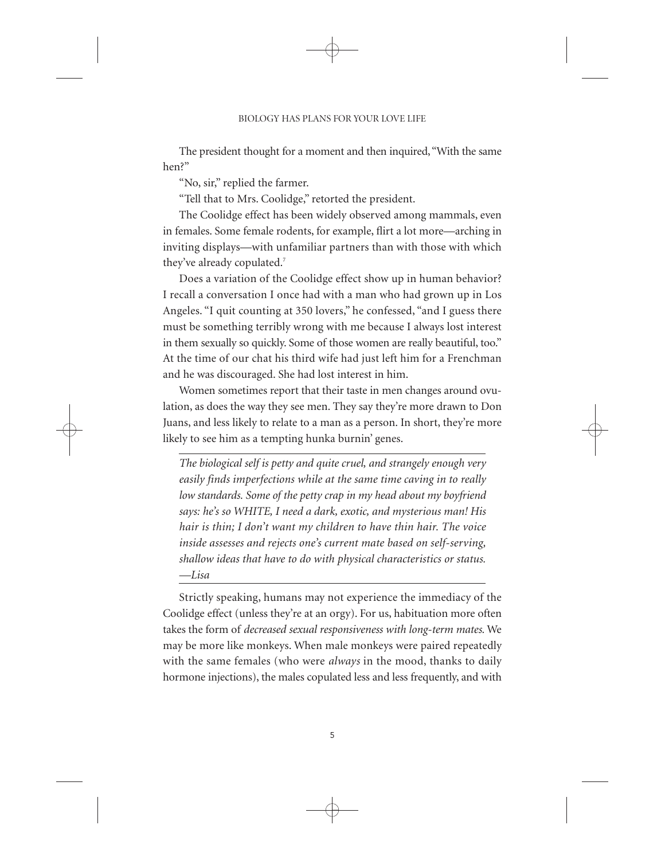The president thought for a moment and then inquired, "With the same hen?"

"No, sir," replied the farmer.

"Tell that to Mrs. Coolidge," retorted the president.

The Coolidge effect has been widely observed among mammals, even in females. Some female rodents, for example, flirt a lot more—arching in inviting displays—with unfamiliar partners than with those with which they've already copulated.<sup>7</sup>

Does a variation of the Coolidge effect show up in human behavior? I recall a conversation I once had with a man who had grown up in Los Angeles. "I quit counting at 350 lovers," he confessed, "and I guess there must be something terribly wrong with me because I always lost interest in them sexually so quickly. Some of those women are really beautiful, too." At the time of our chat his third wife had just left him for a Frenchman and he was discouraged. She had lost interest in him.

Women sometimes report that their taste in men changes around ovulation, as does the way they see men. They say they're more drawn to Don Juans, and less likely to relate to a man as a person. In short, they're more likely to see him as a tempting hunka burnin' genes.

*The biological self is petty and quite cruel, and strangely enough very easily finds imperfections while at the same time caving in to really low standards. Some of the petty crap in my head about my boyfriend says: he's so WHITE, I need a dark, exotic, and mysterious man! His hair is thin; I don't want my children to have thin hair. The voice inside assesses and rejects one's current mate based on self-serving, shallow ideas that have to do with physical characteristics or status. —Lisa*

Strictly speaking, humans may not experience the immediacy of the Coolidge effect (unless they're at an orgy). For us, habituation more often takes the form of *decreased sexual responsiveness with long-term mates.* We may be more like monkeys. When male monkeys were paired repeatedly with the same females (who were *always* in the mood, thanks to daily hormone injections), the males copulated less and less frequently, and with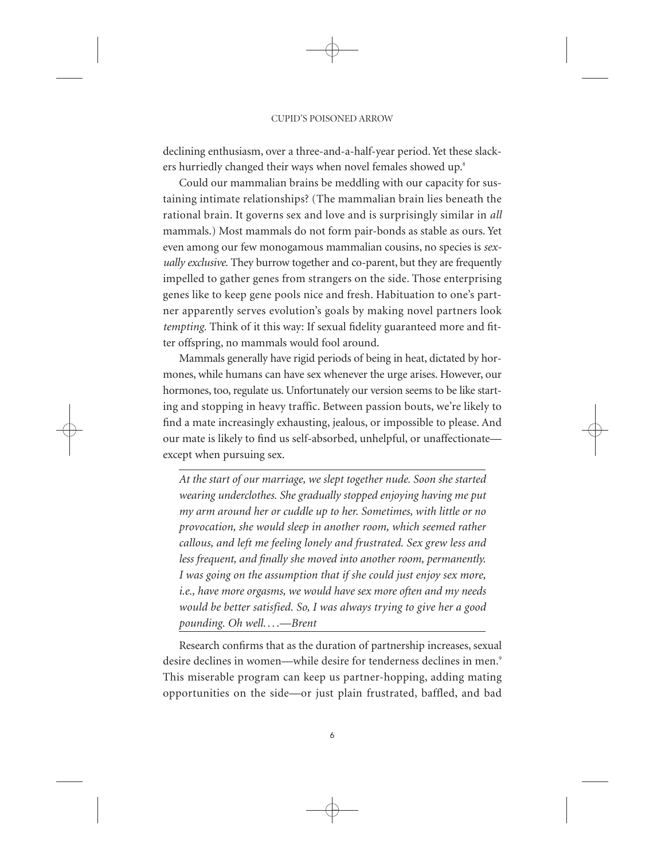declining enthusiasm, over a three-and-a-half-year period. Yet these slackers hurriedly changed their ways when novel females showed up.<sup>8</sup>

Could our mammalian brains be meddling with our capacity for sustaining intimate relationships? (The mammalian brain lies beneath the rational brain. It governs sex and love and is surprisingly similar in *all* mammals.) Most mammals do not form pair-bonds as stable as ours. Yet even among our few monogamous mammalian cousins, no species is *sexually exclusive.* They burrow together and co-parent, but they are frequently impelled to gather genes from strangers on the side. Those enterprising genes like to keep gene pools nice and fresh. Habituation to one's partner apparently serves evolution's goals by making novel partners look *tempting.* Think of it this way: If sexual fidelity guaranteed more and fitter offspring, no mammals would fool around.

Mammals generally have rigid periods of being in heat, dictated by hormones, while humans can have sex whenever the urge arises. However, our hormones, too, regulate us. Unfortunately our version seems to be like starting and stopping in heavy traffic. Between passion bouts, we're likely to find a mate increasingly exhausting, jealous, or impossible to please. And our mate is likely to find us self-absorbed, unhelpful, or unaffectionate except when pursuing sex.

*At the start of our marriage, we slept together nude. Soon she started wearing underclothes. She gradually stopped enjoying having me put my arm around her or cuddle up to her. Sometimes, with little or no provocation, she would sleep in another room, which seemed rather callous, and left me feeling lonely and frustrated. Sex grew less and less frequent, and finally she moved into another room, permanently. I was going on the assumption that if she could just enjoy sex more, i.e., have more orgasms, we would have sex more often and my needs would be better satisfied. So, I was always trying to give her a good pounding. Oh well. . . .—Brent*

Research confirms that as the duration of partnership increases, sexual desire declines in women—while desire for tenderness declines in men.<sup>9</sup> This miserable program can keep us partner-hopping, adding mating opportunities on the side—or just plain frustrated, baffled, and bad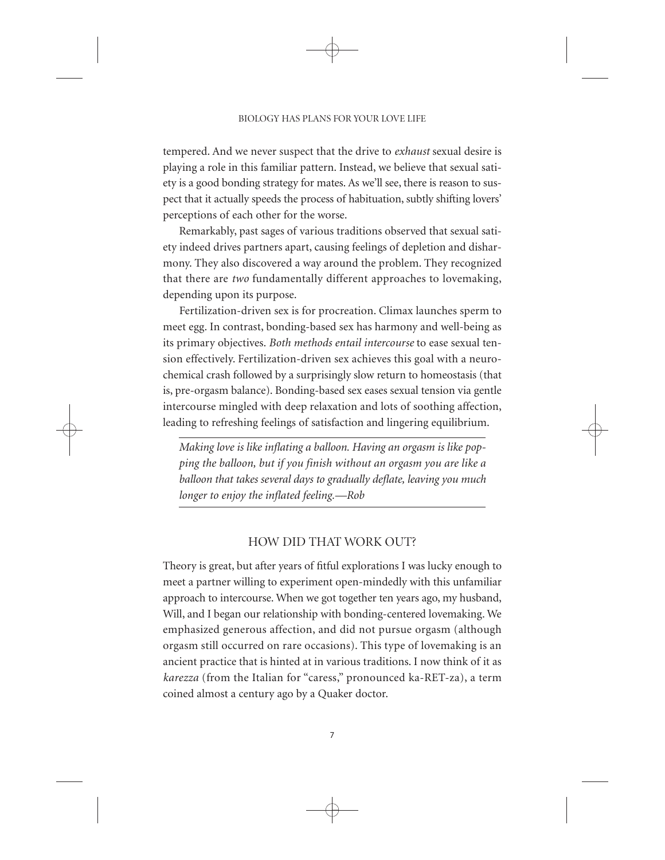tempered. And we never suspect that the drive to *exhaust* sexual desire is playing a role in this familiar pattern. Instead, we believe that sexual satiety is a good bonding strategy for mates. As we'll see, there is reason to suspect that it actually speeds the process of habituation, subtly shifting lovers' perceptions of each other for the worse.

Remarkably, past sages of various traditions observed that sexual satiety indeed drives partners apart, causing feelings of depletion and disharmony. They also discovered a way around the problem. They recognized that there are *two* fundamentally different approaches to lovemaking, depending upon its purpose.

Fertilization-driven sex is for procreation. Climax launches sperm to meet egg. In contrast, bonding-based sex has harmony and well-being as its primary objectives. *Both methods entail intercourse* to ease sexual tension effectively. Fertilization-driven sex achieves this goal with a neurochemical crash followed by a surprisingly slow return to homeostasis (that is, pre-orgasm balance). Bonding-based sex eases sexual tension via gentle intercourse mingled with deep relaxation and lots of soothing affection, leading to refreshing feelings of satisfaction and lingering equilibrium.

*Making love is like inflating a balloon. Having an orgasm is like popping the balloon, but if you finish without an orgasm you are like a balloon that takes several days to gradually deflate, leaving you much longer to enjoy the inflated feeling.—Rob*

## HOW DID THAT WORK OUT?

Theory is great, but after years of fitful explorations I was lucky enough to meet a partner willing to experiment open-mindedly with this unfamiliar approach to intercourse. When we got together ten years ago, my husband, Will, and I began our relationship with bonding-centered lovemaking. We emphasized generous affection, and did not pursue orgasm (although orgasm still occurred on rare occasions). This type of lovemaking is an ancient practice that is hinted at in various traditions. I now think of it as *karezza* (from the Italian for "caress," pronounced ka-RET-za), a term coined almost a century ago by a Quaker doctor.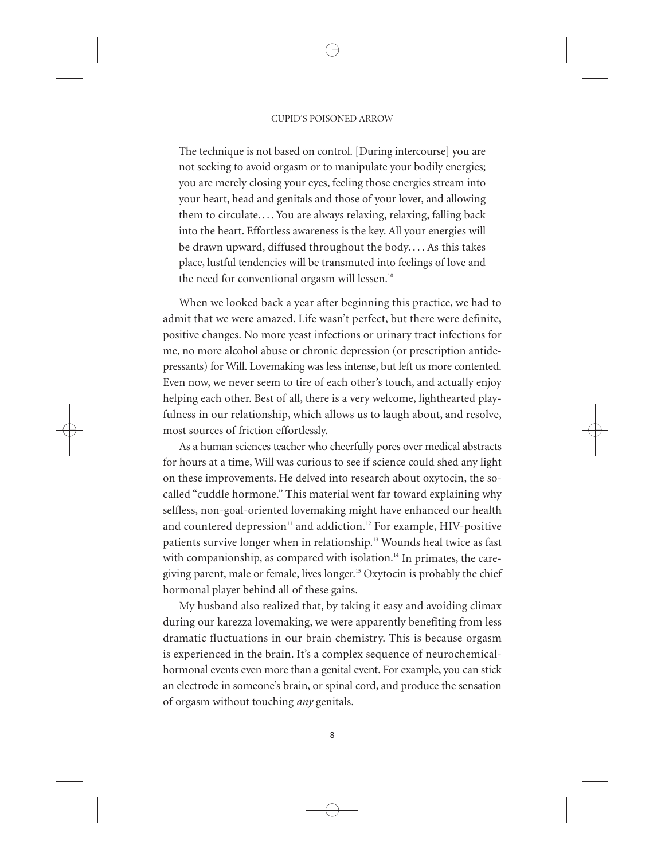The technique is not based on control. [During intercourse] you are not seeking to avoid orgasm or to manipulate your bodily energies; you are merely closing your eyes, feeling those energies stream into your heart, head and genitals and those of your lover, and allowing them to circulate. . . . You are always relaxing, relaxing, falling back into the heart. Effortless awareness is the key. All your energies will be drawn upward, diffused throughout the body. . . . As this takes place, lustful tendencies will be transmuted into feelings of love and the need for conventional orgasm will lessen.<sup>10</sup>

When we looked back a year after beginning this practice, we had to admit that we were amazed. Life wasn't perfect, but there were definite, positive changes. No more yeast infections or urinary tract infections for me, no more alcohol abuse or chronic depression (or prescription antidepressants) for Will. Lovemaking was less intense, but left us more contented. Even now, we never seem to tire of each other's touch, and actually enjoy helping each other. Best of all, there is a very welcome, lighthearted playfulness in our relationship, which allows us to laugh about, and resolve, most sources of friction effortlessly.

As a human sciences teacher who cheerfully pores over medical abstracts for hours at a time, Will was curious to see if science could shed any light on these improvements. He delved into research about oxytocin, the socalled "cuddle hormone." This material went far toward explaining why selfless, non-goal-oriented lovemaking might have enhanced our health and countered depression<sup>11</sup> and addiction.<sup>12</sup> For example, HIV-positive patients survive longer when in relationship.<sup>13</sup> Wounds heal twice as fast with companionship, as compared with isolation.<sup>14</sup> In primates, the caregiving parent, male or female, lives longer.<sup>15</sup> Oxytocin is probably the chief hormonal player behind all of these gains.

My husband also realized that, by taking it easy and avoiding climax during our karezza lovemaking, we were apparently benefiting from less dramatic fluctuations in our brain chemistry. This is because orgasm is experienced in the brain. It's a complex sequence of neurochemicalhormonal events even more than a genital event. For example, you can stick an electrode in someone's brain, or spinal cord, and produce the sensation of orgasm without touching *any* genitals.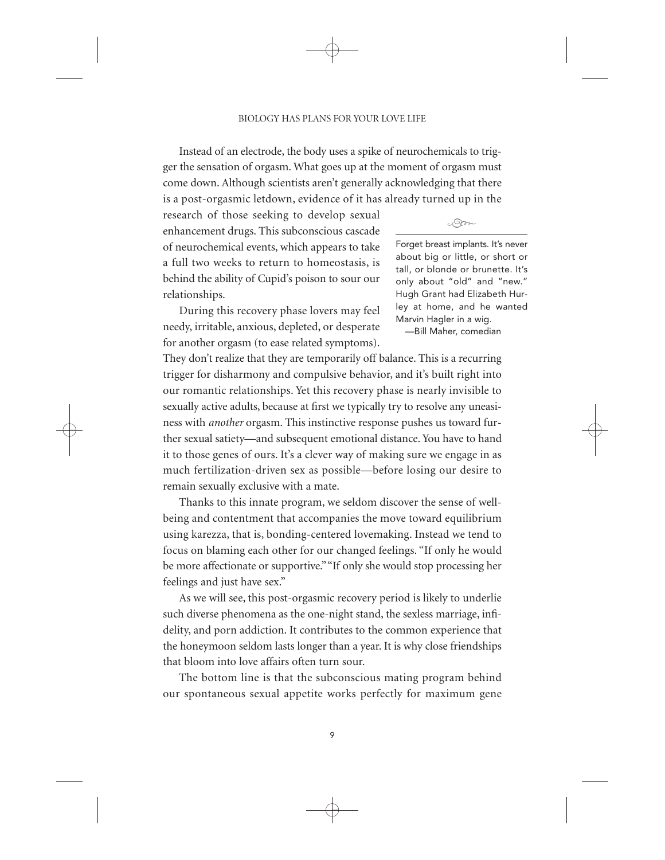Instead of an electrode, the body uses a spike of neurochemicals to trigger the sensation of orgasm. What goes up at the moment of orgasm must come down. Although scientists aren't generally acknowledging that there is a post-orgasmic letdown, evidence of it has already turned up in the

research of those seeking to develop sexual enhancement drugs. This subconscious cascade of neurochemical events, which appears to take a full two weeks to return to homeostasis, is behind the ability of Cupid's poison to sour our relationships.

 $\mathcal{A}$ 

Forget breast implants. It's never about big or little, or short or tall, or blonde or brunette. It's only about "old" and "new." Hugh Grant had Elizabeth Hurley at home, and he wanted Marvin Hagler in a wig.

During this recovery phase lovers may feel needy, irritable, anxious, depleted, or desperate for another orgasm (to ease related symptoms).

—Bill Maher, comedian

They don't realize that they are temporarily off balance. This is a recurring trigger for disharmony and compulsive behavior, and it's built right into our romantic relationships. Yet this recovery phase is nearly invisible to sexually active adults, because at first we typically try to resolve any uneasiness with *another* orgasm. This instinctive response pushes us toward further sexual satiety—and subsequent emotional distance. You have to hand it to those genes of ours. It's a clever way of making sure we engage in as much fertilization-driven sex as possible—before losing our desire to remain sexually exclusive with a mate.

Thanks to this innate program, we seldom discover the sense of wellbeing and contentment that accompanies the move toward equilibrium using karezza, that is, bonding-centered lovemaking. Instead we tend to focus on blaming each other for our changed feelings. "If only he would be more affectionate or supportive.""If only she would stop processing her feelings and just have sex."

As we will see, this post-orgasmic recovery period is likely to underlie such diverse phenomena as the one-night stand, the sexless marriage, infidelity, and porn addiction. It contributes to the common experience that the honeymoon seldom lasts longer than a year. It is why close friendships that bloom into love affairs often turn sour.

The bottom line is that the subconscious mating program behind our spontaneous sexual appetite works perfectly for maximum gene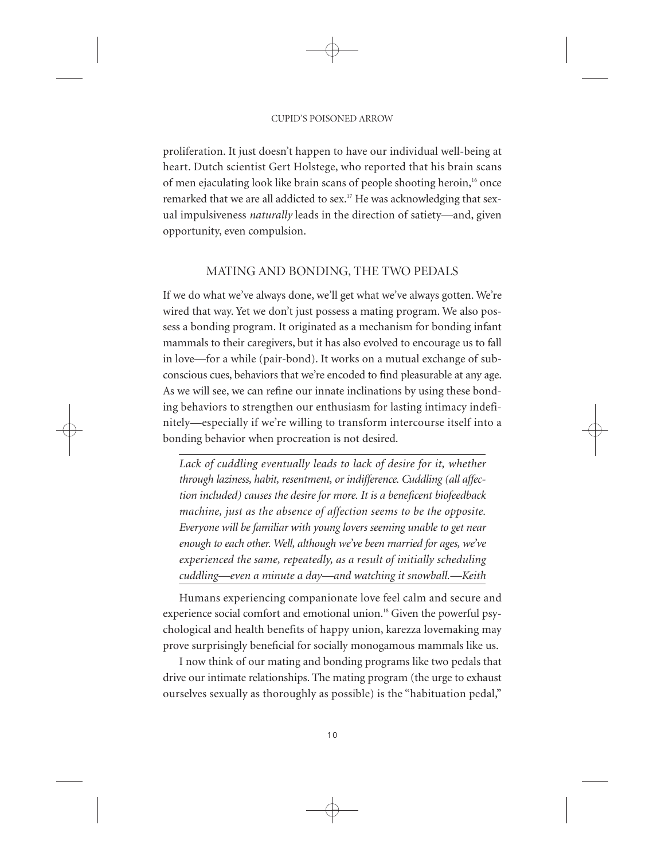proliferation. It just doesn't happen to have our individual well-being at heart. Dutch scientist Gert Holstege, who reported that his brain scans of men ejaculating look like brain scans of people shooting heroin,<sup>16</sup> once remarked that we are all addicted to sex.<sup>17</sup> He was acknowledging that sexual impulsiveness *naturally* leads in the direction of satiety—and, given opportunity, even compulsion.

## MATING AND BONDING, THE TWO PEDALS

If we do what we've always done, we'll get what we've always gotten. We're wired that way. Yet we don't just possess a mating program. We also possess a bonding program. It originated as a mechanism for bonding infant mammals to their caregivers, but it has also evolved to encourage us to fall in love—for a while (pair-bond). It works on a mutual exchange of subconscious cues, behaviors that we're encoded to find pleasurable at any age. As we will see, we can refine our innate inclinations by using these bonding behaviors to strengthen our enthusiasm for lasting intimacy indefinitely—especially if we're willing to transform intercourse itself into a bonding behavior when procreation is not desired.

*Lack of cuddling eventually leads to lack of desire for it, whether through laziness, habit, resentment, or indifference. Cuddling (all affection included) causes the desire for more. It is a beneficent biofeedback machine, just as the absence of affection seems to be the opposite. Everyone will be familiar with young lovers seeming unable to get near enough to each other. Well, although we've been married for ages, we've experienced the same, repeatedly, as a result of initially scheduling cuddling—even a minute a day—and watching it snowball.—Keith*

Humans experiencing companionate love feel calm and secure and experience social comfort and emotional union.<sup>18</sup> Given the powerful psychological and health benefits of happy union, karezza lovemaking may prove surprisingly beneficial for socially monogamous mammals like us.

I now think of our mating and bonding programs like two pedals that drive our intimate relationships. The mating program (the urge to exhaust ourselves sexually as thoroughly as possible) is the "habituation pedal,"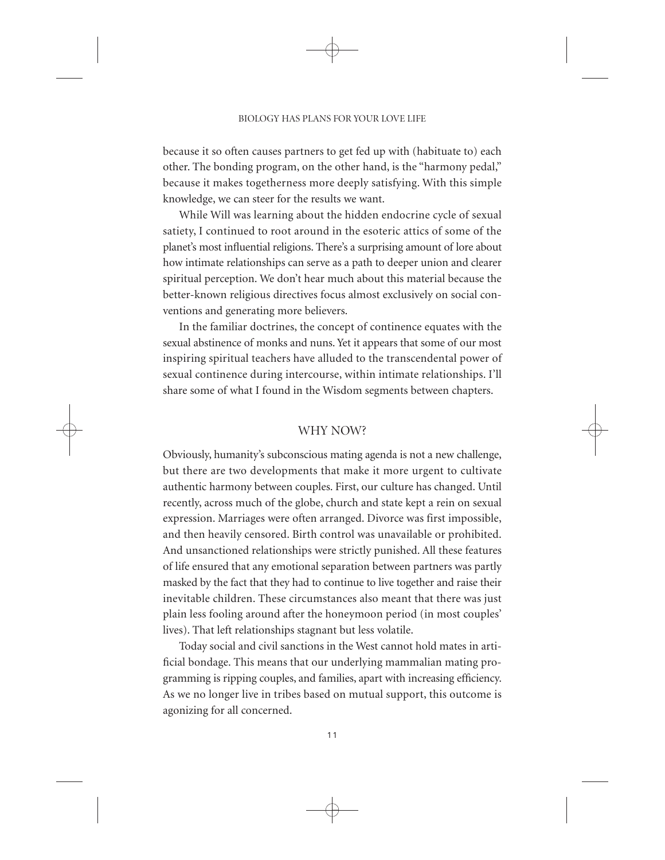because it so often causes partners to get fed up with (habituate to) each other. The bonding program, on the other hand, is the "harmony pedal," because it makes togetherness more deeply satisfying. With this simple knowledge, we can steer for the results we want.

While Will was learning about the hidden endocrine cycle of sexual satiety, I continued to root around in the esoteric attics of some of the planet's most influential religions. There's a surprising amount of lore about how intimate relationships can serve as a path to deeper union and clearer spiritual perception. We don't hear much about this material because the better-known religious directives focus almost exclusively on social conventions and generating more believers.

In the familiar doctrines, the concept of continence equates with the sexual abstinence of monks and nuns. Yet it appears that some of our most inspiring spiritual teachers have alluded to the transcendental power of sexual continence during intercourse, within intimate relationships. I'll share some of what I found in the Wisdom segments between chapters.

## WHY NOW?

Obviously, humanity's subconscious mating agenda is not a new challenge, but there are two developments that make it more urgent to cultivate authentic harmony between couples. First, our culture has changed. Until recently, across much of the globe, church and state kept a rein on sexual expression. Marriages were often arranged. Divorce was first impossible, and then heavily censored. Birth control was unavailable or prohibited. And unsanctioned relationships were strictly punished. All these features of life ensured that any emotional separation between partners was partly masked by the fact that they had to continue to live together and raise their inevitable children. These circumstances also meant that there was just plain less fooling around after the honeymoon period (in most couples' lives). That left relationships stagnant but less volatile.

Today social and civil sanctions in the West cannot hold mates in artificial bondage. This means that our underlying mammalian mating programming is ripping couples, and families, apart with increasing efficiency. As we no longer live in tribes based on mutual support, this outcome is agonizing for all concerned.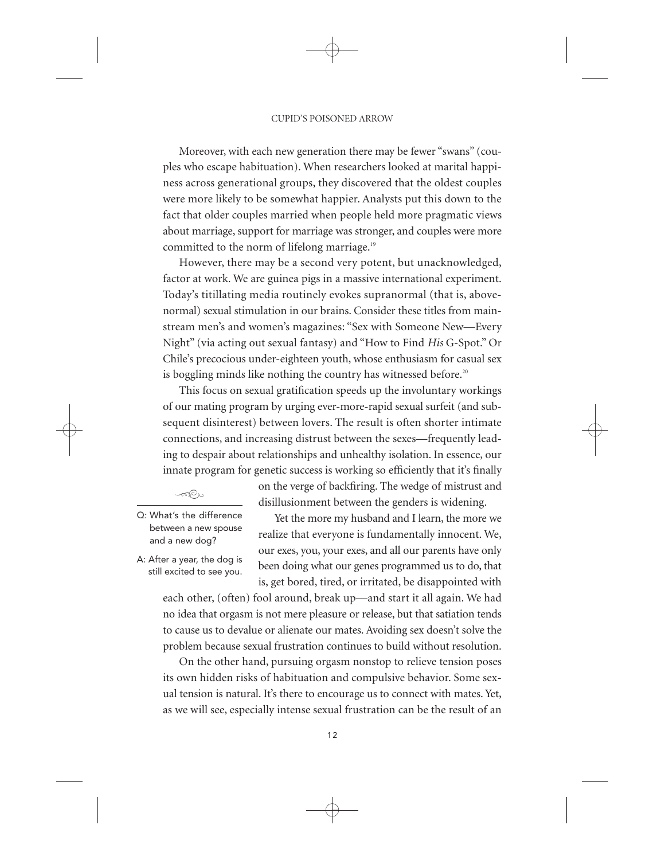Moreover, with each new generation there may be fewer "swans" (couples who escape habituation). When researchers looked at marital happiness across generational groups, they discovered that the oldest couples were more likely to be somewhat happier. Analysts put this down to the fact that older couples married when people held more pragmatic views about marriage, support for marriage was stronger, and couples were more committed to the norm of lifelong marriage.<sup>19</sup>

However, there may be a second very potent, but unacknowledged, factor at work. We are guinea pigs in a massive international experiment. Today's titillating media routinely evokes supranormal (that is, abovenormal) sexual stimulation in our brains. Consider these titles from mainstream men's and women's magazines: "Sex with Someone New—Every Night" (via acting out sexual fantasy) and "How to Find *His* G-Spot." Or Chile's precocious under-eighteen youth, whose enthusiasm for casual sex is boggling minds like nothing the country has witnessed before.<sup>20</sup>

This focus on sexual gratification speeds up the involuntary workings of our mating program by urging ever-more-rapid sexual surfeit (and subsequent disinterest) between lovers. The result is often shorter intimate connections, and increasing distrust between the sexes—frequently leading to despair about relationships and unhealthy isolation. In essence, our innate program for genetic success is working so efficiently that it's finally

∽್ಾು

Q: What's the difference between a new spouse and a new dog?

A: After a year, the dog is still excited to see you.

on the verge of backfiring. The wedge of mistrust and disillusionment between the genders is widening.

Yet the more my husband and I learn, the more we realize that everyone is fundamentally innocent. We, our exes, you, your exes, and all our parents have only been doing what our genes programmed us to do, that is, get bored, tired, or irritated, be disappointed with

each other, (often) fool around, break up—and start it all again. We had no idea that orgasm is not mere pleasure or release, but that satiation tends to cause us to devalue or alienate our mates. Avoiding sex doesn't solve the problem because sexual frustration continues to build without resolution.

On the other hand, pursuing orgasm nonstop to relieve tension poses its own hidden risks of habituation and compulsive behavior. Some sexual tension is natural. It's there to encourage us to connect with mates. Yet, as we will see, especially intense sexual frustration can be the result of an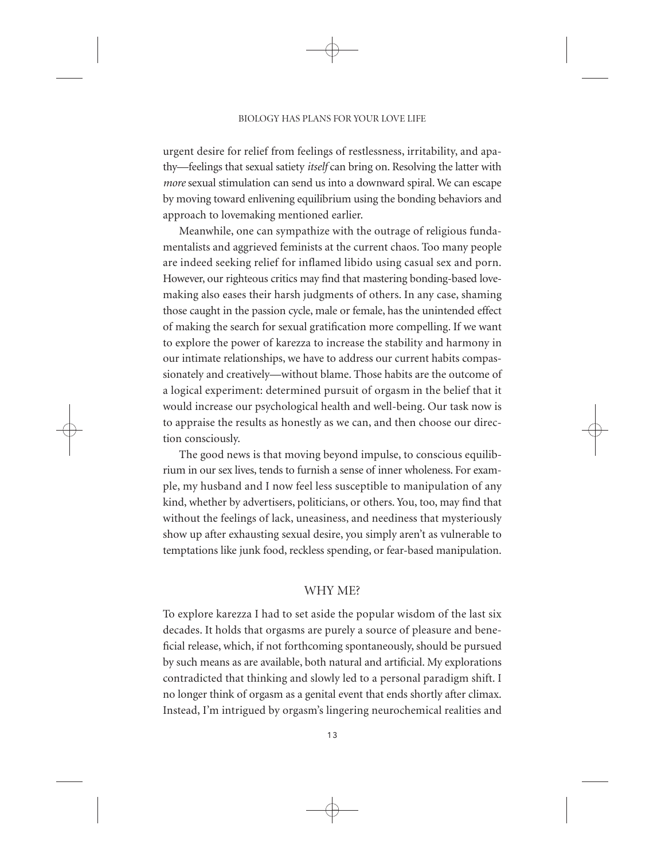urgent desire for relief from feelings of restlessness, irritability, and apathy—feelings that sexual satiety *itself* can bring on. Resolving the latter with *more* sexual stimulation can send us into a downward spiral. We can escape by moving toward enlivening equilibrium using the bonding behaviors and approach to lovemaking mentioned earlier.

Meanwhile, one can sympathize with the outrage of religious fundamentalists and aggrieved feminists at the current chaos. Too many people are indeed seeking relief for inflamed libido using casual sex and porn. However, our righteous critics may find that mastering bonding-based lovemaking also eases their harsh judgments of others. In any case, shaming those caught in the passion cycle, male or female, has the unintended effect of making the search for sexual gratification more compelling. If we want to explore the power of karezza to increase the stability and harmony in our intimate relationships, we have to address our current habits compassionately and creatively—without blame. Those habits are the outcome of a logical experiment: determined pursuit of orgasm in the belief that it would increase our psychological health and well-being. Our task now is to appraise the results as honestly as we can, and then choose our direction consciously.

The good news is that moving beyond impulse, to conscious equilibrium in our sex lives, tends to furnish a sense of inner wholeness. For example, my husband and I now feel less susceptible to manipulation of any kind, whether by advertisers, politicians, or others. You, too, may find that without the feelings of lack, uneasiness, and neediness that mysteriously show up after exhausting sexual desire, you simply aren't as vulnerable to temptations like junk food, reckless spending, or fear-based manipulation.

## WHY ME?

To explore karezza I had to set aside the popular wisdom of the last six decades. It holds that orgasms are purely a source of pleasure and beneficial release, which, if not forthcoming spontaneously, should be pursued by such means as are available, both natural and artificial. My explorations contradicted that thinking and slowly led to a personal paradigm shift. I no longer think of orgasm as a genital event that ends shortly after climax. Instead, I'm intrigued by orgasm's lingering neurochemical realities and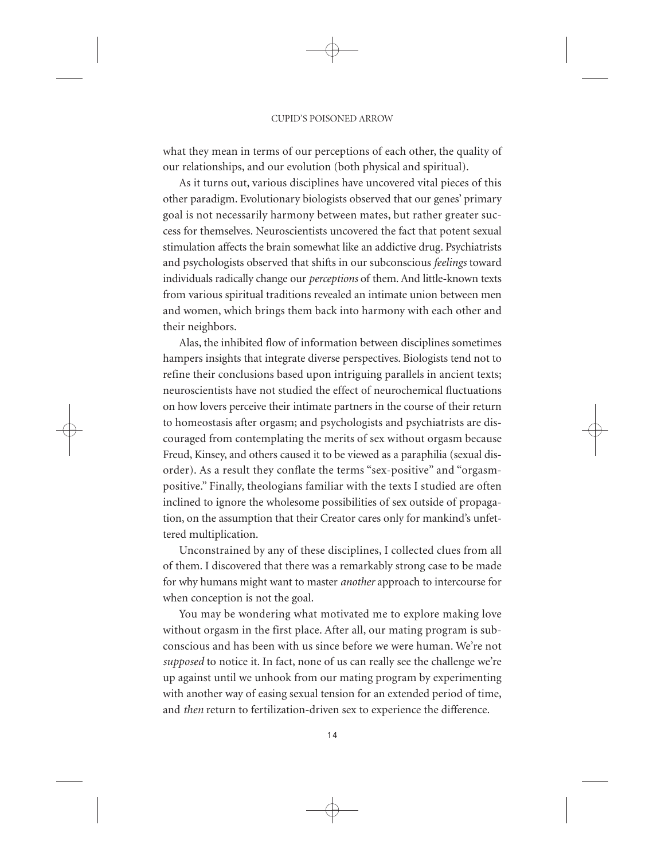what they mean in terms of our perceptions of each other, the quality of our relationships, and our evolution (both physical and spiritual).

As it turns out, various disciplines have uncovered vital pieces of this other paradigm. Evolutionary biologists observed that our genes' primary goal is not necessarily harmony between mates, but rather greater success for themselves. Neuroscientists uncovered the fact that potent sexual stimulation affects the brain somewhat like an addictive drug. Psychiatrists and psychologists observed that shifts in our subconscious *feelings* toward individuals radically change our *perceptions* of them. And little-known texts from various spiritual traditions revealed an intimate union between men and women, which brings them back into harmony with each other and their neighbors.

Alas, the inhibited flow of information between disciplines sometimes hampers insights that integrate diverse perspectives. Biologists tend not to refine their conclusions based upon intriguing parallels in ancient texts; neuroscientists have not studied the effect of neurochemical fluctuations on how lovers perceive their intimate partners in the course of their return to homeostasis after orgasm; and psychologists and psychiatrists are discouraged from contemplating the merits of sex without orgasm because Freud, Kinsey, and others caused it to be viewed as a paraphilia (sexual disorder). As a result they conflate the terms "sex-positive" and "orgasmpositive." Finally, theologians familiar with the texts I studied are often inclined to ignore the wholesome possibilities of sex outside of propagation, on the assumption that their Creator cares only for mankind's unfettered multiplication.

Unconstrained by any of these disciplines, I collected clues from all of them. I discovered that there was a remarkably strong case to be made for why humans might want to master *another* approach to intercourse for when conception is not the goal.

You may be wondering what motivated me to explore making love without orgasm in the first place. After all, our mating program is subconscious and has been with us since before we were human. We're not *supposed* to notice it. In fact, none of us can really see the challenge we're up against until we unhook from our mating program by experimenting with another way of easing sexual tension for an extended period of time, and *then* return to fertilization-driven sex to experience the difference.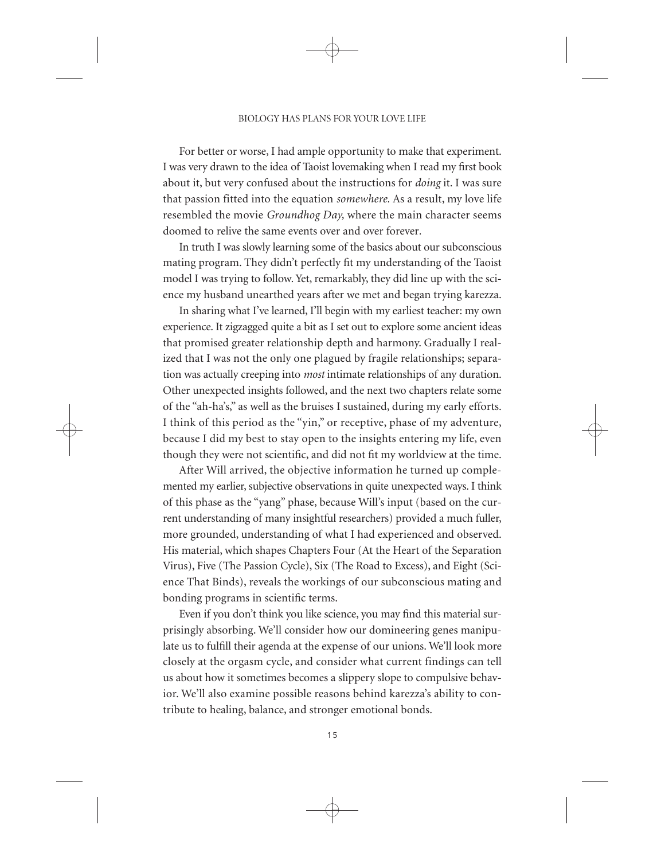For better or worse, I had ample opportunity to make that experiment. I was very drawn to the idea of Taoist lovemaking when I read my first book about it, but very confused about the instructions for *doing* it. I was sure that passion fitted into the equation *somewhere.* As a result, my love life resembled the movie *Groundhog Day,* where the main character seems doomed to relive the same events over and over forever*.*

In truth I was slowly learning some of the basics about our subconscious mating program. They didn't perfectly fit my understanding of the Taoist model I was trying to follow. Yet, remarkably, they did line up with the science my husband unearthed years after we met and began trying karezza.

In sharing what I've learned, I'll begin with my earliest teacher: my own experience. It zigzagged quite a bit as I set out to explore some ancient ideas that promised greater relationship depth and harmony. Gradually I realized that I was not the only one plagued by fragile relationships; separation was actually creeping into *most* intimate relationships of any duration. Other unexpected insights followed, and the next two chapters relate some of the "ah-ha's," as well as the bruises I sustained, during my early efforts. I think of this period as the "yin," or receptive, phase of my adventure, because I did my best to stay open to the insights entering my life, even though they were not scientific, and did not fit my worldview at the time.

After Will arrived, the objective information he turned up complemented my earlier, subjective observations in quite unexpected ways. I think of this phase as the "yang" phase, because Will's input (based on the current understanding of many insightful researchers) provided a much fuller, more grounded, understanding of what I had experienced and observed. His material, which shapes Chapters Four (At the Heart of the Separation Virus), Five (The Passion Cycle), Six (The Road to Excess), and Eight (Science That Binds), reveals the workings of our subconscious mating and bonding programs in scientific terms.

Even if you don't think you like science, you may find this material surprisingly absorbing. We'll consider how our domineering genes manipulate us to fulfill their agenda at the expense of our unions. We'll look more closely at the orgasm cycle, and consider what current findings can tell us about how it sometimes becomes a slippery slope to compulsive behavior. We'll also examine possible reasons behind karezza's ability to contribute to healing, balance, and stronger emotional bonds.